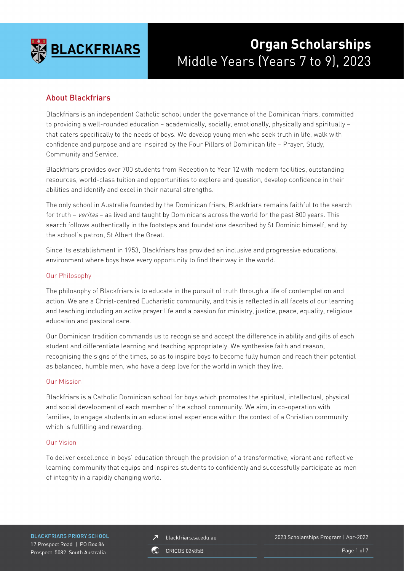

# **Organ Scholarships** Middle Years (Years 7 to 9), 2023

# About Blackfriars

Blackfriars is an independent Catholic school under the governance of the Dominican friars, committed to providing a well-rounded education – academically, socially, emotionally, physically and spiritually – that caters specifically to the needs of boys. We develop young men who seek truth in life, walk with confidence and purpose and are inspired by the Four Pillars of Dominican life – Prayer, Study, Community and Service.

Blackfriars provides over 700 students from Reception to Year 12 with modern facilities, outstanding resources, world-class tuition and opportunities to explore and question, develop confidence in their abilities and identify and excel in their natural strengths.

The only school in Australia founded by the Dominican friars, Blackfriars remains faithful to the search for truth – veritas – as lived and taught by Dominicans across the world for the past 800 years. This search follows authentically in the footsteps and foundations described by St Dominic himself, and by the school's patron, St Albert the Great.

Since its establishment in 1953, Blackfriars has provided an inclusive and progressive educational environment where boys have every opportunity to find their way in the world.

#### Our Philosophy

The philosophy of Blackfriars is to educate in the pursuit of truth through a life of contemplation and action. We are a Christ-centred Eucharistic community, and this is reflected in all facets of our learning and teaching including an active prayer life and a passion for ministry, justice, peace, equality, religious education and pastoral care.

Our Dominican tradition commands us to recognise and accept the difference in ability and gifts of each student and differentiate learning and teaching appropriately. We synthesise faith and reason, recognising the signs of the times, so as to inspire boys to become fully human and reach their potential as balanced, humble men, who have a deep love for the world in which they live.

#### Our Mission

Blackfriars is a Catholic Dominican school for boys which promotes the spiritual, intellectual, physical and social development of each member of the school community. We aim, in co-operation with families, to engage students in an educational experience within the context of a Christian community which is fulfilling and rewarding.

#### Our Vision

To deliver excellence in boys' education through the provision of a transformative, vibrant and reflective learning community that equips and inspires students to confidently and successfully participate as men of integrity in a rapidly changing world.

**BLACKFRIARS PRIORY SCHOOL** 17 Prospect Road | PO Box 86 Prospect 5082 South Australia

blackfriars.sa.edu.au  $\overline{\mathbf{z}}$ 

2023 Scholarships Program | Apr-2022

**CRICOS 02485B** 

Page 1 of 7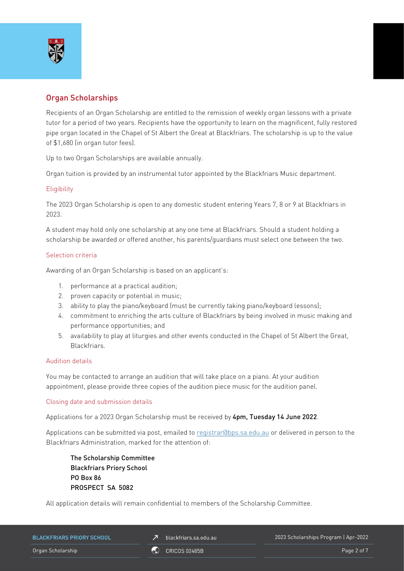

# Organ Scholarships

Recipients of an Organ Scholarship are entitled to the remission of weekly organ lessons with a private tutor for a period of two years. Recipients have the opportunity to learn on the magnificent, fully restored pipe organ located in the Chapel of St Albert the Great at Blackfriars. The scholarship is up to the value of \$1,680 (in organ tutor fees).

Up to two Organ Scholarships are available annually.

Organ tuition is provided by an instrumental tutor appointed by the Blackfriars Music department.

#### **Eligibility**

The 2023 Organ Scholarship is open to any domestic student entering Years 7, 8 or 9 at Blackfriars in 2023.

A student may hold only one scholarship at any one time at Blackfriars. Should a student holding a scholarship be awarded or offered another, his parents/guardians must select one between the two.

#### Selection criteria

Awarding of an Organ Scholarship is based on an applicant's:

- 1. performance at a practical audition;
- 2. proven capacity or potential in music;
- 3. ability to play the piano/keyboard (must be currently taking piano/keyboard lessons);
- 4. commitment to enriching the arts culture of Blackfriars by being involved in music making and performance opportunities; and
- 5. availability to play at liturgies and other events conducted in the Chapel of St Albert the Great, Blackfriars.

#### Audition details

You may be contacted to arrange an audition that will take place on a piano. At your audition appointment, please provide three copies of the audition piece music for the audition panel.

#### Closing date and submission details

Applications for a 2023 Organ Scholarship must be received by 4pm, Tuesday 14 June 2022.

Applications can be submitted via post, emailed to [registrar@bps.sa.edu.au](mailto:registrar@bps.sa.edu.au) or delivered in person to the Blackfriars Administration, marked for the attention of:

The Scholarship Committee Blackfriars Priory School PO Box 86 PROSPECT SA 5082

All application details will remain confidential to members of the Scholarship Committee.

| <b>BLACKFRIARS PRIORY SCHOOL</b> | blackfriars.sa.edu.au | 2023 Scholarships Program   Apr-2022 |
|----------------------------------|-----------------------|--------------------------------------|
| Organ Scholarship                | CRICOS 02485B         | Page 2 of 7                          |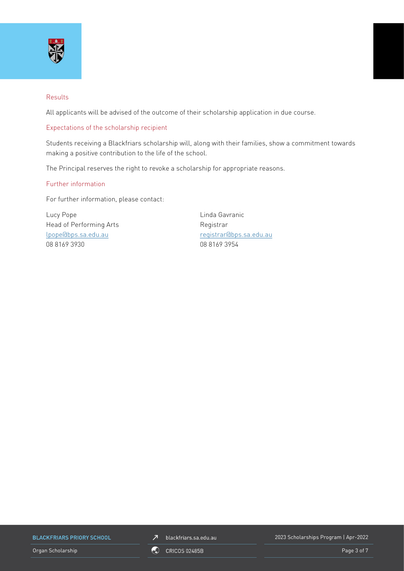

#### Results

All applicants will be advised of the outcome of their scholarship application in due course.

#### Expectations of the scholarship recipient

Students receiving a Blackfriars scholarship will, along with their families, show a commitment towards making a positive contribution to the life of the school.

The Principal reserves the right to revoke a scholarship for appropriate reasons.

#### Further information

For further information, please contact:

Lucy Pope Linda Gavranic Head of Performing Arts **Registrar** Registrar [lpope@bps.sa.edu.au](mailto:lpope@bps.sa.edu.au) [registrar@bps.sa.edu.au](mailto:registrar@bps.sa.edu.au) 08 8169 3930 08 8169 3954

**BLACKFRIARS PRIORY SCHOOL** 

Organ Scholarship **Page 3 of 7** ORICOS 02485B

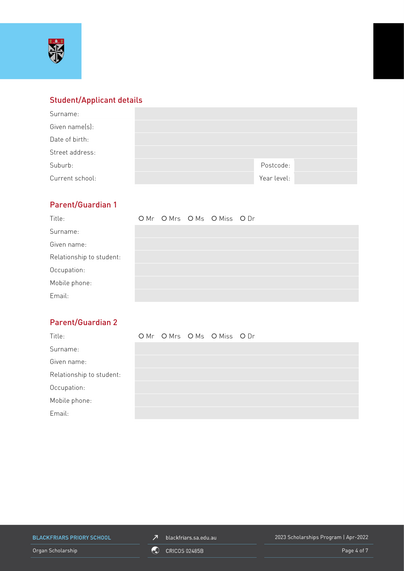

# Student/Applicant details

| Surname:        |             |
|-----------------|-------------|
| Given name(s):  |             |
| Date of birth:  |             |
| Street address: |             |
| Suburb:         | Postcode:   |
| Current school: | Year level: |

# Parent/Guardian 1

| Title:                   |  | OMr OMrs OMs OMiss ODr |  |
|--------------------------|--|------------------------|--|
| Surname:                 |  |                        |  |
| Given name:              |  |                        |  |
| Relationship to student: |  |                        |  |
| Occupation:              |  |                        |  |
| Mobile phone:            |  |                        |  |
| Email:                   |  |                        |  |

# Parent/Guardian 2

| Title:                   |  | OMr OMrs OMs OMiss ODr |  |
|--------------------------|--|------------------------|--|
| Surname:                 |  |                        |  |
| Given name:              |  |                        |  |
| Relationship to student: |  |                        |  |
| Occupation:              |  |                        |  |
| Mobile phone:            |  |                        |  |
| Email:                   |  |                        |  |

**BLACKFRIARS PRIORY SCHOOL** 

 $\n *J*\n blackfriars.sa.edu.au\n$ 

2023 Scholarships Program | Apr-2022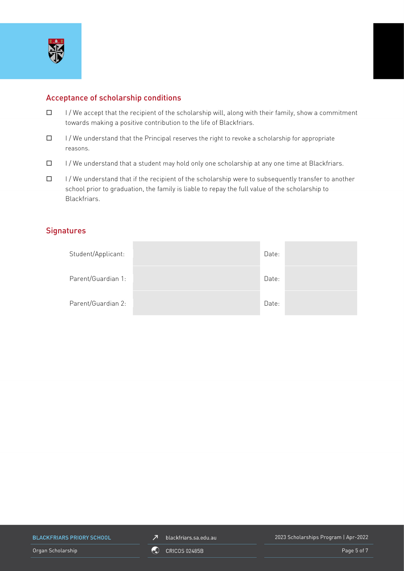

## Acceptance of scholarship conditions

- $\Box$  I/We accept that the recipient of the scholarship will, along with their family, show a commitment towards making a positive contribution to the life of Blackfriars.
- $\Box$  I/We understand that the Principal reserves the right to revoke a scholarship for appropriate reasons.
- $\Box$  I/We understand that a student may hold only one scholarship at any one time at Blackfriars.
- $\Box$  I/We understand that if the recipient of the scholarship were to subsequently transfer to another school prior to graduation, the family is liable to repay the full value of the scholarship to Blackfriars.

## **Signatures**

| Student/Applicant: | Date: |  |
|--------------------|-------|--|
| Parent/Guardian 1: | Date: |  |
| Parent/Guardian 2: | Date: |  |

**BLACKFRIARS PRIORY SCHOOL** 

Organ Scholarship **Page 5 of 7** ORICOS 02485B

2023 Scholarships Program | Apr-2022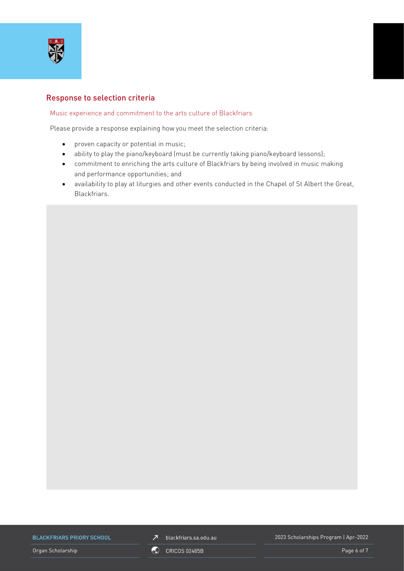

### Response to selection criteria

#### Music experience and commitment to the arts culture of Blackfriars

Please provide a response explaining how you meet the selection criteria:

- proven capacity or potential in music;
- ability to play the piano/keyboard (must be currently taking piano/keyboard lessons);
- commitment to enriching the arts culture of Blackfriars by being involved in music making and performance opportunities; and
- availability to play at liturgies and other events conducted in the Chapel of St Albert the Great, Blackfriars.

**BLACKFRIARS PRIORY SCHOOL** 

Organ Scholarship **Page 6 of 7** ORICOS 02485B **Page 6 of 7** ORICOS 02485B

 $Z$  blackfriars.sa.edu.au

2023 Scholarships Program | Apr-2022